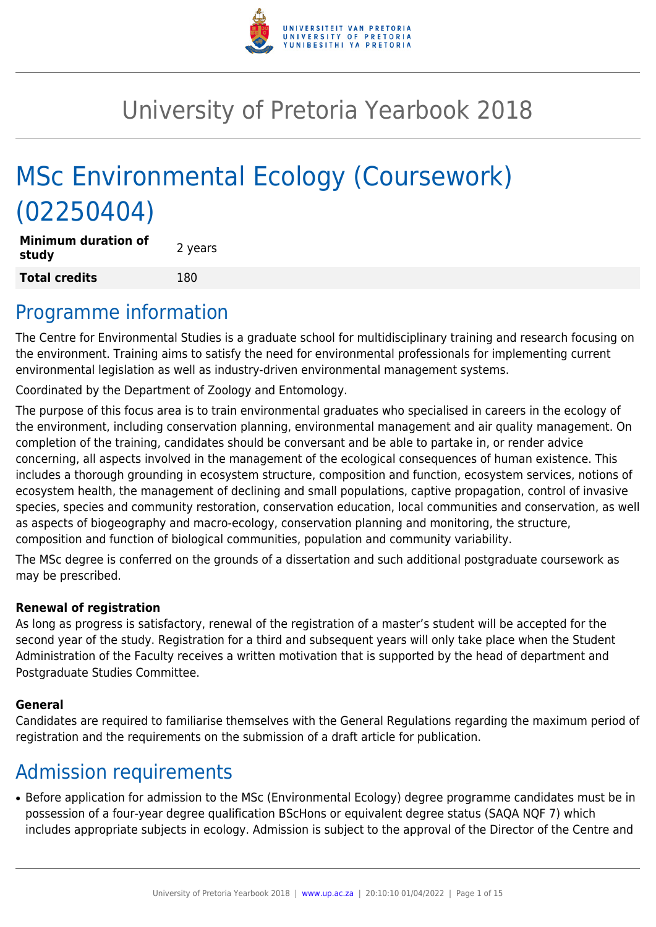

# University of Pretoria Yearbook 2018

# MSc Environmental Ecology (Coursework) (02250404)

**Minimum duration of study and all study 2** years **Total credits** 180

### Programme information

The Centre for Environmental Studies is a graduate school for multidisciplinary training and research focusing on the environment. Training aims to satisfy the need for environmental professionals for implementing current environmental legislation as well as industry-driven environmental management systems.

Coordinated by the Department of Zoology and Entomology.

The purpose of this focus area is to train environmental graduates who specialised in careers in the ecology of the environment, including conservation planning, environmental management and air quality management. On completion of the training, candidates should be conversant and be able to partake in, or render advice concerning, all aspects involved in the management of the ecological consequences of human existence. This includes a thorough grounding in ecosystem structure, composition and function, ecosystem services, notions of ecosystem health, the management of declining and small populations, captive propagation, control of invasive species, species and community restoration, conservation education, local communities and conservation, as well as aspects of biogeography and macro-ecology, conservation planning and monitoring, the structure, composition and function of biological communities, population and community variability.

The MSc degree is conferred on the grounds of a dissertation and such additional postgraduate coursework as may be prescribed.

#### **Renewal of registration**

As long as progress is satisfactory, renewal of the registration of a master's student will be accepted for the second year of the study. Registration for a third and subsequent years will only take place when the Student Administration of the Faculty receives a written motivation that is supported by the head of department and Postgraduate Studies Committee.

#### **General**

Candidates are required to familiarise themselves with the General Regulations regarding the maximum period of registration and the requirements on the submission of a draft article for publication.

## Admission requirements

● Before application for admission to the MSc (Environmental Ecology) degree programme candidates must be in possession of a four-year degree qualification BScHons or equivalent degree status (SAQA NQF 7) which includes appropriate subjects in ecology. Admission is subject to the approval of the Director of the Centre and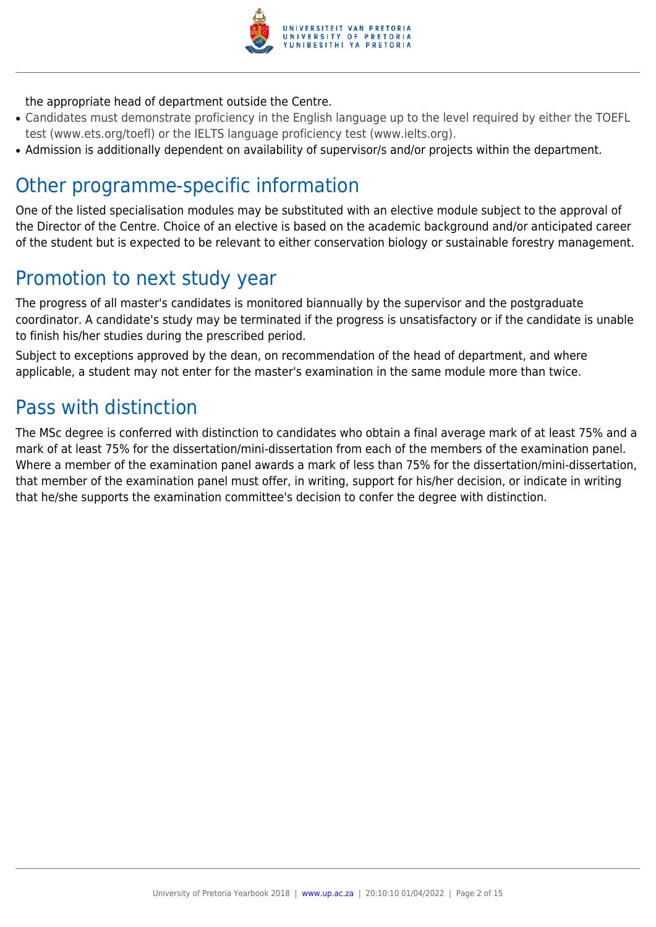

#### the appropriate head of department outside the Centre.

- Candidates must demonstrate proficiency in the English language up to the level required by either the TOEFL test (www.ets.org/toefl) or the IELTS language proficiency test (www.ielts.org).
- Admission is additionally dependent on availability of supervisor/s and/or projects within the department.

### Other programme-specific information

One of the listed specialisation modules may be substituted with an elective module subject to the approval of the Director of the Centre. Choice of an elective is based on the academic background and/or anticipated career of the student but is expected to be relevant to either conservation biology or sustainable forestry management.

### Promotion to next study year

The progress of all master's candidates is monitored biannually by the supervisor and the postgraduate coordinator. A candidate's study may be terminated if the progress is unsatisfactory or if the candidate is unable to finish his/her studies during the prescribed period.

Subject to exceptions approved by the dean, on recommendation of the head of department, and where applicable, a student may not enter for the master's examination in the same module more than twice.

### Pass with distinction

The MSc degree is conferred with distinction to candidates who obtain a final average mark of at least 75% and a mark of at least 75% for the dissertation/mini-dissertation from each of the members of the examination panel. Where a member of the examination panel awards a mark of less than 75% for the dissertation/mini-dissertation, that member of the examination panel must offer, in writing, support for his/her decision, or indicate in writing that he/she supports the examination committee's decision to confer the degree with distinction.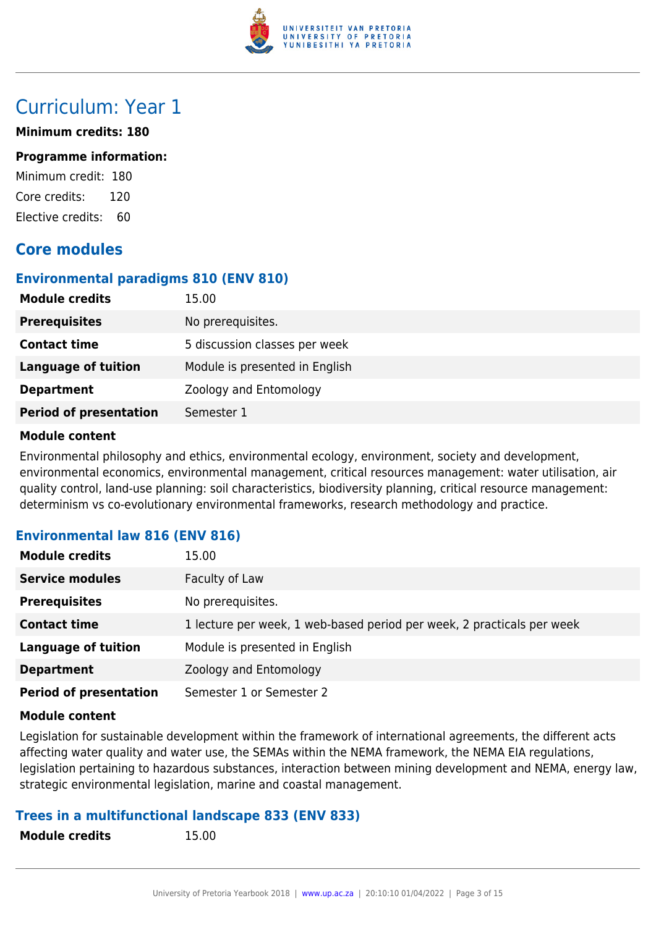

### Curriculum: Year 1

#### **Minimum credits: 180**

#### **Programme information:**

Minimum credit: 180 Core credits: 120 Elective credits: 60

### **Core modules**

#### **Environmental paradigms 810 (ENV 810)**

| <b>Module credits</b>         | 15.00                          |
|-------------------------------|--------------------------------|
| <b>Prerequisites</b>          | No prerequisites.              |
| <b>Contact time</b>           | 5 discussion classes per week  |
| <b>Language of tuition</b>    | Module is presented in English |
| <b>Department</b>             | Zoology and Entomology         |
| <b>Period of presentation</b> | Semester 1                     |

#### **Module content**

Environmental philosophy and ethics, environmental ecology, environment, society and development, environmental economics, environmental management, critical resources management: water utilisation, air quality control, land-use planning: soil characteristics, biodiversity planning, critical resource management: determinism vs co-evolutionary environmental frameworks, research methodology and practice.

#### **Environmental law 816 (ENV 816)**

| <b>Module credits</b>         | 15.00                                                                  |
|-------------------------------|------------------------------------------------------------------------|
| <b>Service modules</b>        | Faculty of Law                                                         |
| <b>Prerequisites</b>          | No prerequisites.                                                      |
| <b>Contact time</b>           | 1 lecture per week, 1 web-based period per week, 2 practicals per week |
| <b>Language of tuition</b>    | Module is presented in English                                         |
| <b>Department</b>             | Zoology and Entomology                                                 |
| <b>Period of presentation</b> | Semester 1 or Semester 2                                               |

#### **Module content**

Legislation for sustainable development within the framework of international agreements, the different acts affecting water quality and water use, the SEMAs within the NEMA framework, the NEMA EIA regulations, legislation pertaining to hazardous substances, interaction between mining development and NEMA, energy law, strategic environmental legislation, marine and coastal management.

#### **Trees in a multifunctional landscape 833 (ENV 833)**

**Module credits** 15.00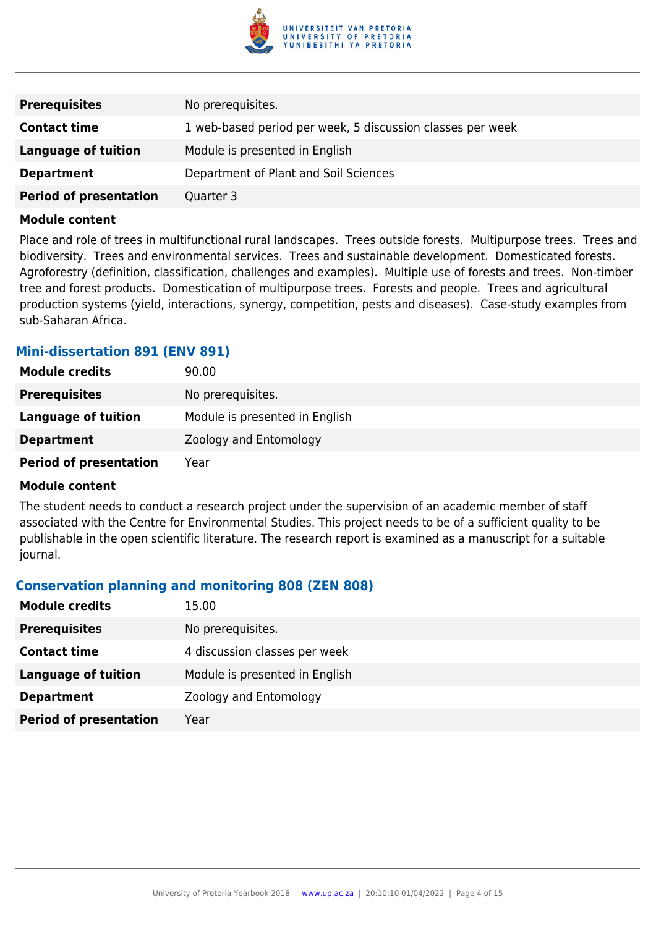

| <b>Prerequisites</b>          | No prerequisites.                                          |
|-------------------------------|------------------------------------------------------------|
| <b>Contact time</b>           | 1 web-based period per week, 5 discussion classes per week |
| Language of tuition           | Module is presented in English                             |
| <b>Department</b>             | Department of Plant and Soil Sciences                      |
| <b>Period of presentation</b> | Quarter 3                                                  |

Place and role of trees in multifunctional rural landscapes. Trees outside forests. Multipurpose trees. Trees and biodiversity. Trees and environmental services. Trees and sustainable development. Domesticated forests. Agroforestry (definition, classification, challenges and examples). Multiple use of forests and trees. Non-timber tree and forest products. Domestication of multipurpose trees. Forests and people. Trees and agricultural production systems (yield, interactions, synergy, competition, pests and diseases). Case-study examples from sub-Saharan Africa.

#### **Mini-dissertation 891 (ENV 891)**

| <b>Module credits</b>         | 90.00                          |
|-------------------------------|--------------------------------|
| <b>Prerequisites</b>          | No prerequisites.              |
| Language of tuition           | Module is presented in English |
| <b>Department</b>             | Zoology and Entomology         |
| <b>Period of presentation</b> | Year                           |

#### **Module content**

The student needs to conduct a research project under the supervision of an academic member of staff associated with the Centre for Environmental Studies. This project needs to be of a sufficient quality to be publishable in the open scientific literature. The research report is examined as a manuscript for a suitable journal.

#### **Conservation planning and monitoring 808 (ZEN 808)**

| <b>Module credits</b>         | 15.00                          |
|-------------------------------|--------------------------------|
| <b>Prerequisites</b>          | No prerequisites.              |
| <b>Contact time</b>           | 4 discussion classes per week  |
| <b>Language of tuition</b>    | Module is presented in English |
| <b>Department</b>             | Zoology and Entomology         |
| <b>Period of presentation</b> | Year                           |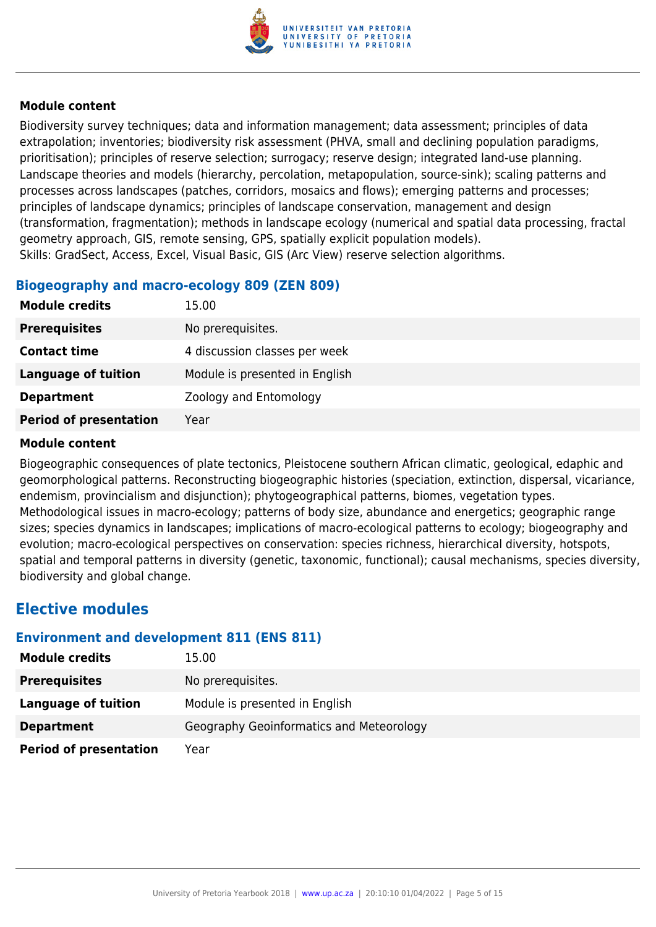

Biodiversity survey techniques; data and information management; data assessment; principles of data extrapolation; inventories; biodiversity risk assessment (PHVA, small and declining population paradigms, prioritisation); principles of reserve selection; surrogacy; reserve design; integrated land-use planning. Landscape theories and models (hierarchy, percolation, metapopulation, source-sink); scaling patterns and processes across landscapes (patches, corridors, mosaics and flows); emerging patterns and processes; principles of landscape dynamics; principles of landscape conservation, management and design (transformation, fragmentation); methods in landscape ecology (numerical and spatial data processing, fractal geometry approach, GIS, remote sensing, GPS, spatially explicit population models). Skills: GradSect, Access, Excel, Visual Basic, GIS (Arc View) reserve selection algorithms.

#### **Biogeography and macro-ecology 809 (ZEN 809)**

| <b>Module credits</b>         | 15.00                          |
|-------------------------------|--------------------------------|
| <b>Prerequisites</b>          | No prerequisites.              |
| <b>Contact time</b>           | 4 discussion classes per week  |
| Language of tuition           | Module is presented in English |
| <b>Department</b>             | Zoology and Entomology         |
| <b>Period of presentation</b> | Year                           |

#### **Module content**

Biogeographic consequences of plate tectonics, Pleistocene southern African climatic, geological, edaphic and geomorphological patterns. Reconstructing biogeographic histories (speciation, extinction, dispersal, vicariance, endemism, provincialism and disjunction); phytogeographical patterns, biomes, vegetation types. Methodological issues in macro-ecology; patterns of body size, abundance and energetics; geographic range sizes; species dynamics in landscapes; implications of macro-ecological patterns to ecology; biogeography and evolution; macro-ecological perspectives on conservation: species richness, hierarchical diversity, hotspots, spatial and temporal patterns in diversity (genetic, taxonomic, functional); causal mechanisms, species diversity, biodiversity and global change.

### **Elective modules**

#### **Environment and development 811 (ENS 811)**

| <b>Module credits</b>         | 15.00                                    |
|-------------------------------|------------------------------------------|
| <b>Prerequisites</b>          | No prerequisites.                        |
| Language of tuition           | Module is presented in English           |
| <b>Department</b>             | Geography Geoinformatics and Meteorology |
| <b>Period of presentation</b> | Year                                     |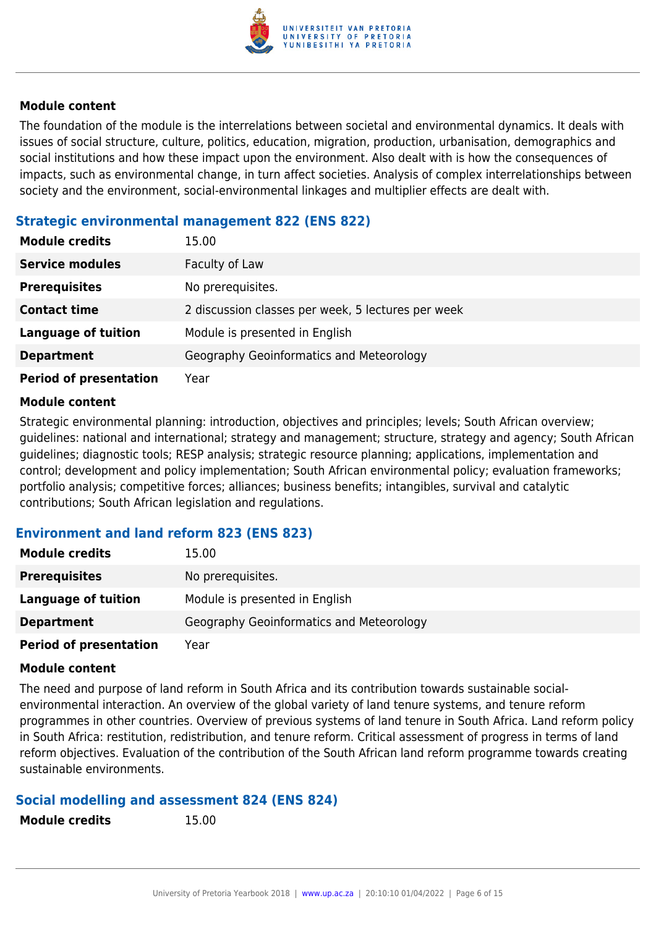

The foundation of the module is the interrelations between societal and environmental dynamics. It deals with issues of social structure, culture, politics, education, migration, production, urbanisation, demographics and social institutions and how these impact upon the environment. Also dealt with is how the consequences of impacts, such as environmental change, in turn affect societies. Analysis of complex interrelationships between society and the environment, social-environmental linkages and multiplier effects are dealt with.

#### **Strategic environmental management 822 (ENS 822)**

| <b>Module credits</b>         | 15.00                                              |
|-------------------------------|----------------------------------------------------|
| <b>Service modules</b>        | Faculty of Law                                     |
| <b>Prerequisites</b>          | No prerequisites.                                  |
| <b>Contact time</b>           | 2 discussion classes per week, 5 lectures per week |
| <b>Language of tuition</b>    | Module is presented in English                     |
| <b>Department</b>             | Geography Geoinformatics and Meteorology           |
| <b>Period of presentation</b> | Year                                               |

#### **Module content**

Strategic environmental planning: introduction, objectives and principles; levels; South African overview; guidelines: national and international; strategy and management; structure, strategy and agency; South African guidelines; diagnostic tools; RESP analysis; strategic resource planning; applications, implementation and control; development and policy implementation; South African environmental policy; evaluation frameworks; portfolio analysis; competitive forces; alliances; business benefits; intangibles, survival and catalytic contributions; South African legislation and regulations.

#### **Environment and land reform 823 (ENS 823)**

| <b>Module credits</b>         | 15.00                                    |
|-------------------------------|------------------------------------------|
| <b>Prerequisites</b>          | No prerequisites.                        |
| <b>Language of tuition</b>    | Module is presented in English           |
| <b>Department</b>             | Geography Geoinformatics and Meteorology |
| <b>Period of presentation</b> | Year                                     |

#### **Module content**

The need and purpose of land reform in South Africa and its contribution towards sustainable socialenvironmental interaction. An overview of the global variety of land tenure systems, and tenure reform programmes in other countries. Overview of previous systems of land tenure in South Africa. Land reform policy in South Africa: restitution, redistribution, and tenure reform. Critical assessment of progress in terms of land reform objectives. Evaluation of the contribution of the South African land reform programme towards creating sustainable environments.

#### **Social modelling and assessment 824 (ENS 824)**

**Module credits** 15.00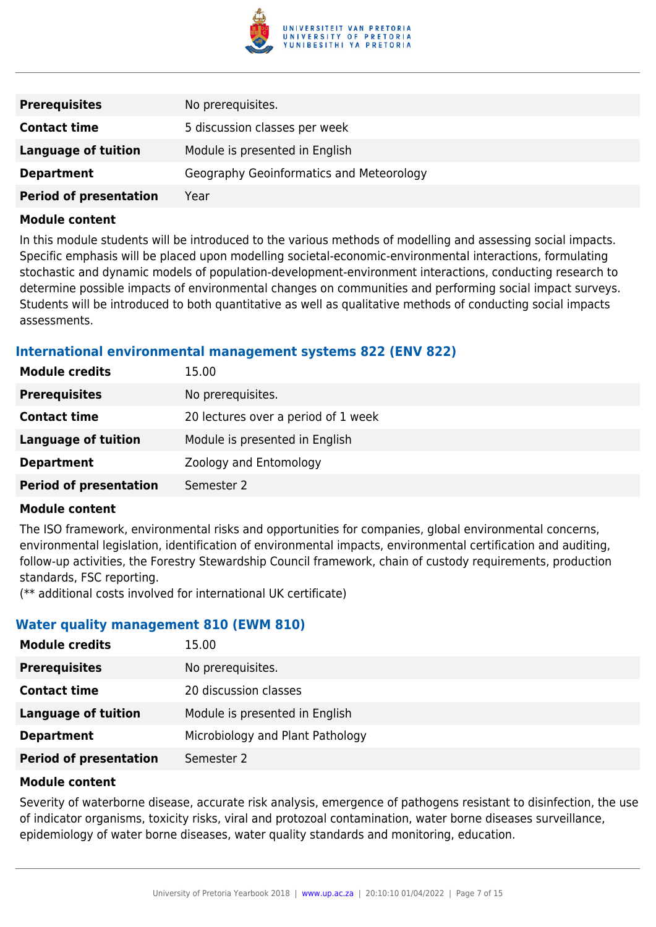

| <b>Prerequisites</b>          | No prerequisites.                        |
|-------------------------------|------------------------------------------|
| <b>Contact time</b>           | 5 discussion classes per week            |
| <b>Language of tuition</b>    | Module is presented in English           |
| <b>Department</b>             | Geography Geoinformatics and Meteorology |
| <b>Period of presentation</b> | Year                                     |

In this module students will be introduced to the various methods of modelling and assessing social impacts. Specific emphasis will be placed upon modelling societal-economic-environmental interactions, formulating stochastic and dynamic models of population-development-environment interactions, conducting research to determine possible impacts of environmental changes on communities and performing social impact surveys. Students will be introduced to both quantitative as well as qualitative methods of conducting social impacts assessments.

#### **International environmental management systems 822 (ENV 822)**

| <b>Module credits</b>         | 15.00                               |
|-------------------------------|-------------------------------------|
| <b>Prerequisites</b>          | No prerequisites.                   |
| <b>Contact time</b>           | 20 lectures over a period of 1 week |
| <b>Language of tuition</b>    | Module is presented in English      |
| <b>Department</b>             | Zoology and Entomology              |
| <b>Period of presentation</b> | Semester 2                          |

#### **Module content**

The ISO framework, environmental risks and opportunities for companies, global environmental concerns, environmental legislation, identification of environmental impacts, environmental certification and auditing, follow-up activities, the Forestry Stewardship Council framework, chain of custody requirements, production standards, FSC reporting.

(\*\* additional costs involved for international UK certificate)

#### **Water quality management 810 (EWM 810)**

| <b>Module credits</b>         | 15.00                            |
|-------------------------------|----------------------------------|
| <b>Prerequisites</b>          | No prerequisites.                |
| <b>Contact time</b>           | 20 discussion classes            |
| <b>Language of tuition</b>    | Module is presented in English   |
| <b>Department</b>             | Microbiology and Plant Pathology |
| <b>Period of presentation</b> | Semester 2                       |

#### **Module content**

Severity of waterborne disease, accurate risk analysis, emergence of pathogens resistant to disinfection, the use of indicator organisms, toxicity risks, viral and protozoal contamination, water borne diseases surveillance, epidemiology of water borne diseases, water quality standards and monitoring, education.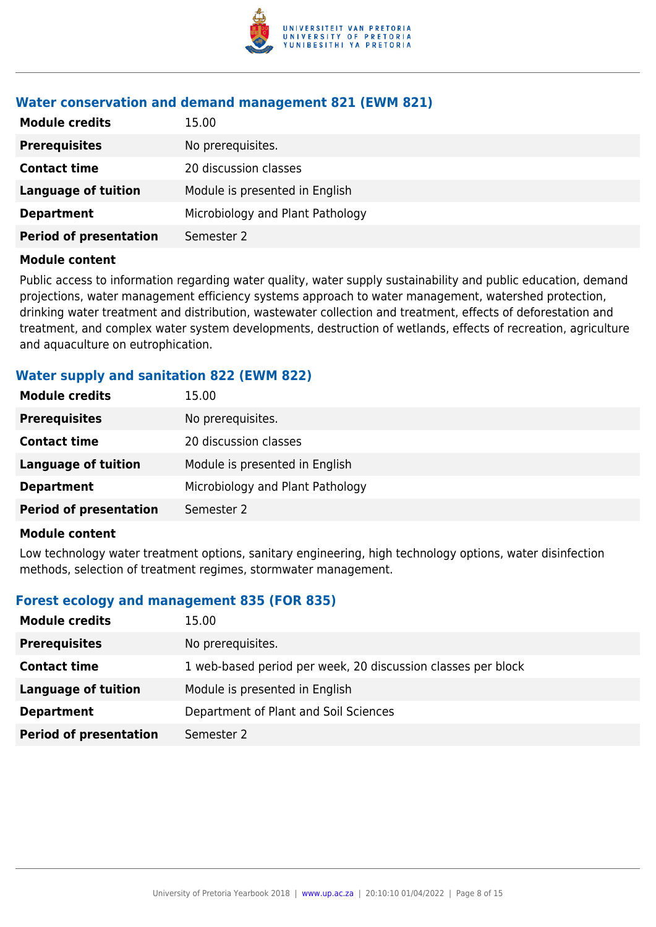

#### **Water conservation and demand management 821 (EWM 821)**

| <b>Module credits</b>         | 15.00                            |
|-------------------------------|----------------------------------|
| <b>Prerequisites</b>          | No prerequisites.                |
| <b>Contact time</b>           | 20 discussion classes            |
| <b>Language of tuition</b>    | Module is presented in English   |
| <b>Department</b>             | Microbiology and Plant Pathology |
| <b>Period of presentation</b> | Semester 2                       |
|                               |                                  |

#### **Module content**

Public access to information regarding water quality, water supply sustainability and public education, demand projections, water management efficiency systems approach to water management, watershed protection, drinking water treatment and distribution, wastewater collection and treatment, effects of deforestation and treatment, and complex water system developments, destruction of wetlands, effects of recreation, agriculture and aquaculture on eutrophication.

#### **Water supply and sanitation 822 (EWM 822)**

| <b>Module credits</b><br>15.00               |                                  |
|----------------------------------------------|----------------------------------|
| No prerequisites.<br><b>Prerequisites</b>    |                                  |
| 20 discussion classes<br><b>Contact time</b> |                                  |
| <b>Language of tuition</b>                   | Module is presented in English   |
| <b>Department</b>                            | Microbiology and Plant Pathology |
| <b>Period of presentation</b><br>Semester 2  |                                  |

#### **Module content**

Low technology water treatment options, sanitary engineering, high technology options, water disinfection methods, selection of treatment regimes, stormwater management.

#### **Forest ecology and management 835 (FOR 835)**

| <b>Module credits</b>         | 15.00                                                        |
|-------------------------------|--------------------------------------------------------------|
| <b>Prerequisites</b>          | No prerequisites.                                            |
| <b>Contact time</b>           | 1 web-based period per week, 20 discussion classes per block |
| <b>Language of tuition</b>    | Module is presented in English                               |
| <b>Department</b>             | Department of Plant and Soil Sciences                        |
| <b>Period of presentation</b> | Semester 2                                                   |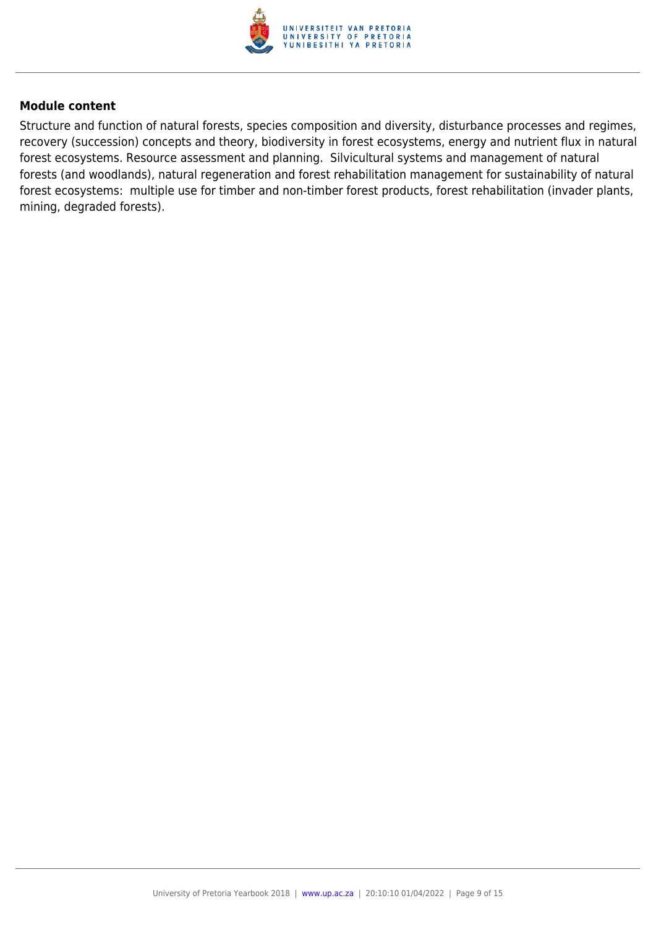

Structure and function of natural forests, species composition and diversity, disturbance processes and regimes, recovery (succession) concepts and theory, biodiversity in forest ecosystems, energy and nutrient flux in natural forest ecosystems. Resource assessment and planning. Silvicultural systems and management of natural forests (and woodlands), natural regeneration and forest rehabilitation management for sustainability of natural forest ecosystems: multiple use for timber and non-timber forest products, forest rehabilitation (invader plants, mining, degraded forests).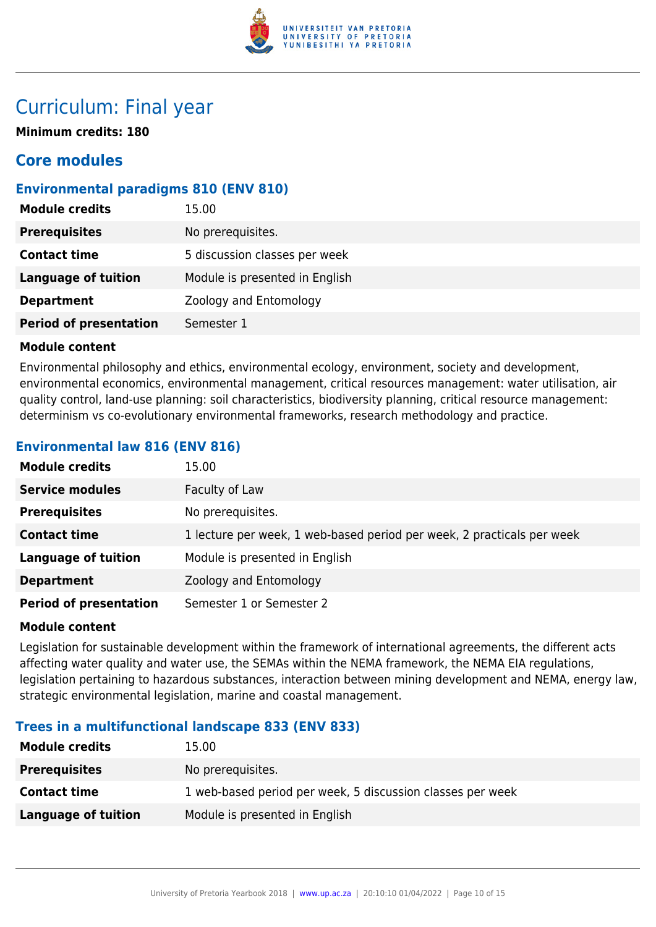

### Curriculum: Final year

**Minimum credits: 180**

### **Core modules**

#### **Environmental paradigms 810 (ENV 810)**

| <b>Module credits</b>         | 15.00                          |
|-------------------------------|--------------------------------|
| <b>Prerequisites</b>          | No prerequisites.              |
| <b>Contact time</b>           | 5 discussion classes per week  |
| <b>Language of tuition</b>    | Module is presented in English |
| <b>Department</b>             | Zoology and Entomology         |
| <b>Period of presentation</b> | Semester 1                     |

#### **Module content**

Environmental philosophy and ethics, environmental ecology, environment, society and development, environmental economics, environmental management, critical resources management: water utilisation, air quality control, land-use planning: soil characteristics, biodiversity planning, critical resource management: determinism vs co-evolutionary environmental frameworks, research methodology and practice.

#### **Environmental law 816 (ENV 816)**

| <b>Module credits</b>         | 15.00                                                                  |
|-------------------------------|------------------------------------------------------------------------|
| <b>Service modules</b>        | Faculty of Law                                                         |
| <b>Prerequisites</b>          | No prerequisites.                                                      |
| <b>Contact time</b>           | 1 lecture per week, 1 web-based period per week, 2 practicals per week |
| <b>Language of tuition</b>    | Module is presented in English                                         |
| <b>Department</b>             | Zoology and Entomology                                                 |
| <b>Period of presentation</b> | Semester 1 or Semester 2                                               |

#### **Module content**

Legislation for sustainable development within the framework of international agreements, the different acts affecting water quality and water use, the SEMAs within the NEMA framework, the NEMA EIA regulations, legislation pertaining to hazardous substances, interaction between mining development and NEMA, energy law, strategic environmental legislation, marine and coastal management.

#### **Trees in a multifunctional landscape 833 (ENV 833)**

| <b>Module credits</b> | 15.00                                                      |
|-----------------------|------------------------------------------------------------|
| <b>Prerequisites</b>  | No prerequisites.                                          |
| <b>Contact time</b>   | 1 web-based period per week, 5 discussion classes per week |
| Language of tuition   | Module is presented in English                             |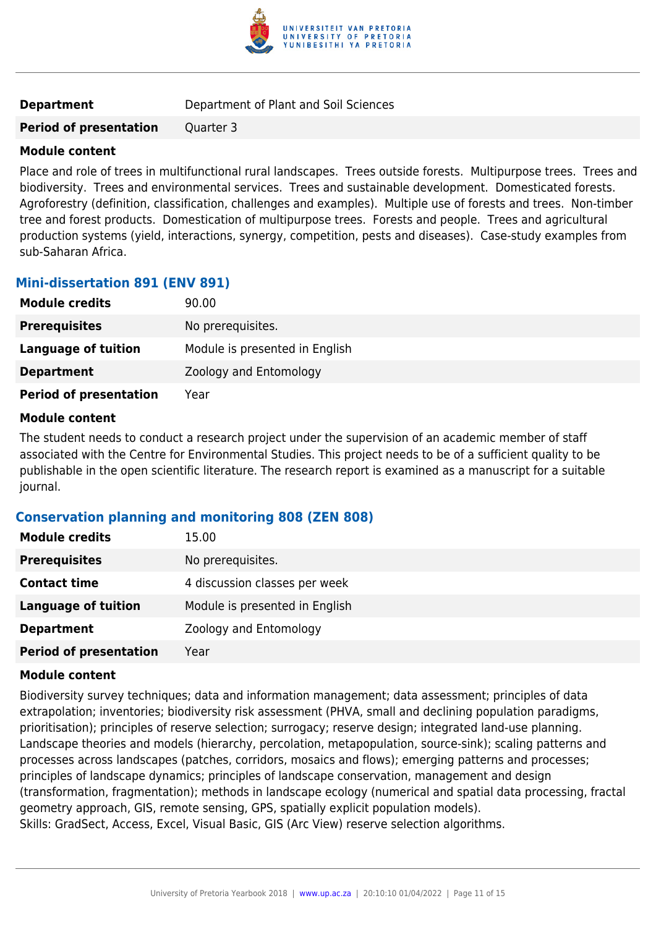

**Period of presentation** Quarter 3

#### **Module content**

Place and role of trees in multifunctional rural landscapes. Trees outside forests. Multipurpose trees. Trees and biodiversity. Trees and environmental services. Trees and sustainable development. Domesticated forests. Agroforestry (definition, classification, challenges and examples). Multiple use of forests and trees. Non-timber tree and forest products. Domestication of multipurpose trees. Forests and people. Trees and agricultural production systems (yield, interactions, synergy, competition, pests and diseases). Case-study examples from sub-Saharan Africa.

#### **Mini-dissertation 891 (ENV 891)**

| <b>Module credits</b>         | 90.00                          |
|-------------------------------|--------------------------------|
| <b>Prerequisites</b>          | No prerequisites.              |
| <b>Language of tuition</b>    | Module is presented in English |
| <b>Department</b>             | Zoology and Entomology         |
| <b>Period of presentation</b> | Year                           |

#### **Module content**

The student needs to conduct a research project under the supervision of an academic member of staff associated with the Centre for Environmental Studies. This project needs to be of a sufficient quality to be publishable in the open scientific literature. The research report is examined as a manuscript for a suitable journal.

#### **Conservation planning and monitoring 808 (ZEN 808)**

| <b>Module credits</b>         | 15.00                          |
|-------------------------------|--------------------------------|
| <b>Prerequisites</b>          | No prerequisites.              |
| <b>Contact time</b>           | 4 discussion classes per week  |
| <b>Language of tuition</b>    | Module is presented in English |
| <b>Department</b>             | Zoology and Entomology         |
| <b>Period of presentation</b> | Year                           |

#### **Module content**

Biodiversity survey techniques; data and information management; data assessment; principles of data extrapolation; inventories; biodiversity risk assessment (PHVA, small and declining population paradigms, prioritisation); principles of reserve selection; surrogacy; reserve design; integrated land-use planning. Landscape theories and models (hierarchy, percolation, metapopulation, source-sink); scaling patterns and processes across landscapes (patches, corridors, mosaics and flows); emerging patterns and processes; principles of landscape dynamics; principles of landscape conservation, management and design (transformation, fragmentation); methods in landscape ecology (numerical and spatial data processing, fractal geometry approach, GIS, remote sensing, GPS, spatially explicit population models). Skills: GradSect, Access, Excel, Visual Basic, GIS (Arc View) reserve selection algorithms.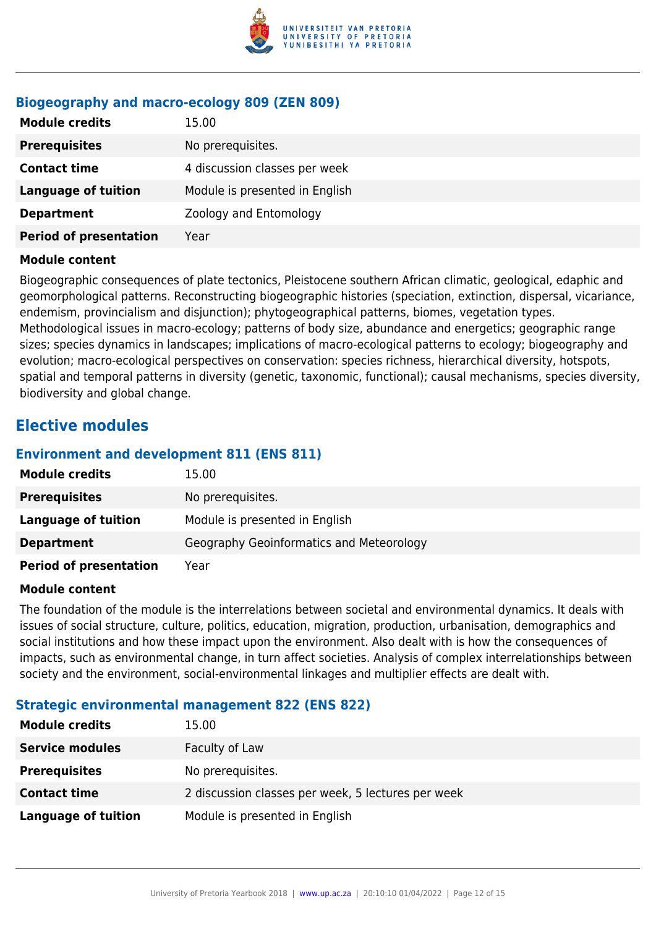

#### **Biogeography and macro-ecology 809 (ZEN 809)**

| <b>Module credits</b>         | 15.00                          |
|-------------------------------|--------------------------------|
| <b>Prerequisites</b>          | No prerequisites.              |
| <b>Contact time</b>           | 4 discussion classes per week  |
| <b>Language of tuition</b>    | Module is presented in English |
| <b>Department</b>             | Zoology and Entomology         |
| <b>Period of presentation</b> | Year                           |

#### **Module content**

Biogeographic consequences of plate tectonics, Pleistocene southern African climatic, geological, edaphic and geomorphological patterns. Reconstructing biogeographic histories (speciation, extinction, dispersal, vicariance, endemism, provincialism and disjunction); phytogeographical patterns, biomes, vegetation types. Methodological issues in macro-ecology; patterns of body size, abundance and energetics; geographic range sizes; species dynamics in landscapes; implications of macro-ecological patterns to ecology; biogeography and evolution; macro-ecological perspectives on conservation: species richness, hierarchical diversity, hotspots, spatial and temporal patterns in diversity (genetic, taxonomic, functional); causal mechanisms, species diversity, biodiversity and global change.

### **Elective modules**

#### **Environment and development 811 (ENS 811)**

| <b>Module credits</b>         | 15.00                                    |
|-------------------------------|------------------------------------------|
| <b>Prerequisites</b>          | No prerequisites.                        |
| Language of tuition           | Module is presented in English           |
| <b>Department</b>             | Geography Geoinformatics and Meteorology |
| <b>Period of presentation</b> | Year                                     |

#### **Module content**

The foundation of the module is the interrelations between societal and environmental dynamics. It deals with issues of social structure, culture, politics, education, migration, production, urbanisation, demographics and social institutions and how these impact upon the environment. Also dealt with is how the consequences of impacts, such as environmental change, in turn affect societies. Analysis of complex interrelationships between society and the environment, social-environmental linkages and multiplier effects are dealt with.

#### **Strategic environmental management 822 (ENS 822)**

| <b>Module credits</b>  | 15.00                                              |
|------------------------|----------------------------------------------------|
| <b>Service modules</b> | Faculty of Law                                     |
| <b>Prerequisites</b>   | No prerequisites.                                  |
| <b>Contact time</b>    | 2 discussion classes per week, 5 lectures per week |
| Language of tuition    | Module is presented in English                     |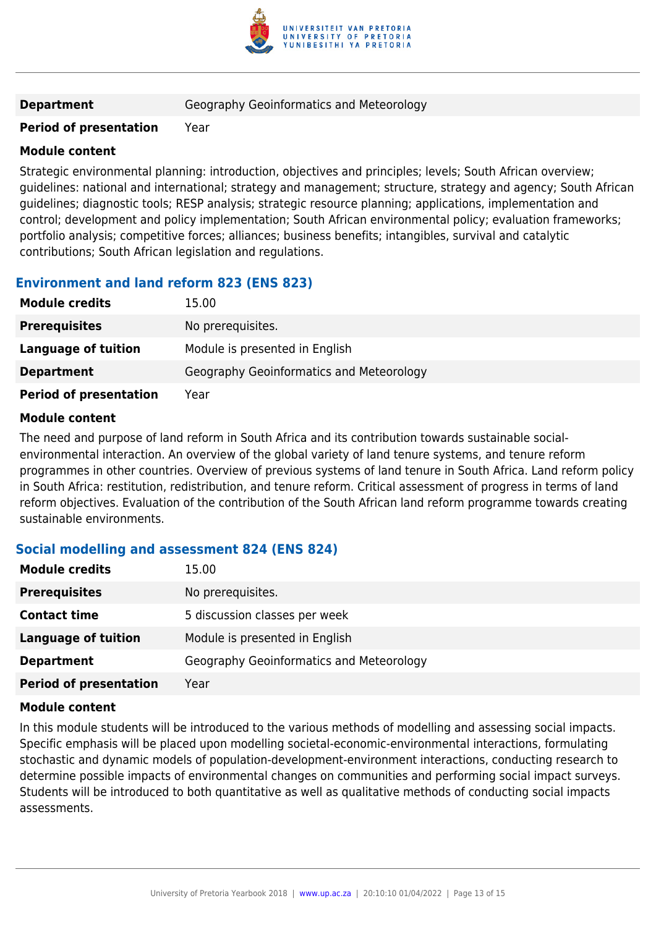

**Department Geography Geoinformatics and Meteorology** 

#### **Period of presentation** Year

#### **Module content**

Strategic environmental planning: introduction, objectives and principles; levels; South African overview; guidelines: national and international; strategy and management; structure, strategy and agency; South African guidelines; diagnostic tools; RESP analysis; strategic resource planning; applications, implementation and control; development and policy implementation; South African environmental policy; evaluation frameworks; portfolio analysis; competitive forces; alliances; business benefits; intangibles, survival and catalytic contributions; South African legislation and regulations.

#### **Environment and land reform 823 (ENS 823)**

| <b>Module credits</b>         | 15.00                                    |
|-------------------------------|------------------------------------------|
| <b>Prerequisites</b>          | No prerequisites.                        |
| Language of tuition           | Module is presented in English           |
| <b>Department</b>             | Geography Geoinformatics and Meteorology |
| <b>Period of presentation</b> | Year                                     |

#### **Module content**

The need and purpose of land reform in South Africa and its contribution towards sustainable socialenvironmental interaction. An overview of the global variety of land tenure systems, and tenure reform programmes in other countries. Overview of previous systems of land tenure in South Africa. Land reform policy in South Africa: restitution, redistribution, and tenure reform. Critical assessment of progress in terms of land reform objectives. Evaluation of the contribution of the South African land reform programme towards creating sustainable environments.

#### **Social modelling and assessment 824 (ENS 824)**

| <b>Module credits</b>         | 15.00                                    |
|-------------------------------|------------------------------------------|
| <b>Prerequisites</b>          | No prerequisites.                        |
| <b>Contact time</b>           | 5 discussion classes per week            |
| Language of tuition           | Module is presented in English           |
| <b>Department</b>             | Geography Geoinformatics and Meteorology |
| <b>Period of presentation</b> | Year                                     |

#### **Module content**

In this module students will be introduced to the various methods of modelling and assessing social impacts. Specific emphasis will be placed upon modelling societal-economic-environmental interactions, formulating stochastic and dynamic models of population-development-environment interactions, conducting research to determine possible impacts of environmental changes on communities and performing social impact surveys. Students will be introduced to both quantitative as well as qualitative methods of conducting social impacts assessments.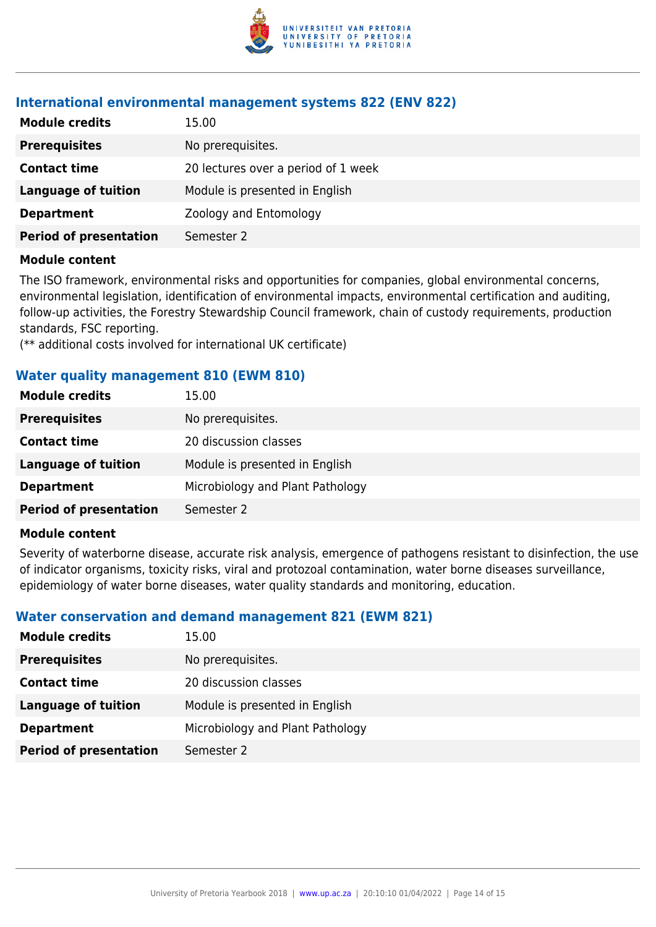

#### **International environmental management systems 822 (ENV 822)**

| <b>Module credits</b>         | 15.00                               |
|-------------------------------|-------------------------------------|
| <b>Prerequisites</b>          | No prerequisites.                   |
| <b>Contact time</b>           | 20 lectures over a period of 1 week |
| <b>Language of tuition</b>    | Module is presented in English      |
| <b>Department</b>             | Zoology and Entomology              |
| <b>Period of presentation</b> | Semester 2                          |

#### **Module content**

The ISO framework, environmental risks and opportunities for companies, global environmental concerns, environmental legislation, identification of environmental impacts, environmental certification and auditing, follow-up activities, the Forestry Stewardship Council framework, chain of custody requirements, production standards, FSC reporting.

(\*\* additional costs involved for international UK certificate)

#### **Water quality management 810 (EWM 810)**

| <b>Module credits</b>         | 15.00                            |
|-------------------------------|----------------------------------|
| <b>Prerequisites</b>          | No prerequisites.                |
| <b>Contact time</b>           | 20 discussion classes            |
| Language of tuition           | Module is presented in English   |
| <b>Department</b>             | Microbiology and Plant Pathology |
| <b>Period of presentation</b> | Semester 2                       |

#### **Module content**

Severity of waterborne disease, accurate risk analysis, emergence of pathogens resistant to disinfection, the use of indicator organisms, toxicity risks, viral and protozoal contamination, water borne diseases surveillance, epidemiology of water borne diseases, water quality standards and monitoring, education.

#### **Water conservation and demand management 821 (EWM 821)**

| <b>Module credits</b>         | 15.00                            |
|-------------------------------|----------------------------------|
| <b>Prerequisites</b>          | No prerequisites.                |
| <b>Contact time</b>           | 20 discussion classes            |
| Language of tuition           | Module is presented in English   |
| <b>Department</b>             | Microbiology and Plant Pathology |
| <b>Period of presentation</b> | Semester 2                       |